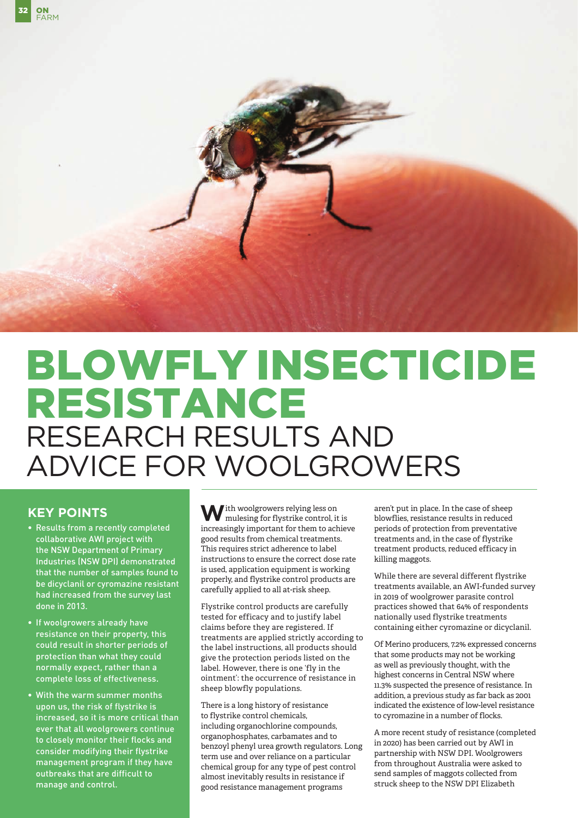

# BLOWFLY INSECTICIDE RESISTANCE RESEARCH RESULTS AND ADVICE FOR WOOLGROWERS

# **KEY POINTS**

- Results from a recently completed collaborative AWI project with the NSW Department of Primary Industries (NSW DPI) demonstrated that the number of samples found to be dicyclanil or cyromazine resistant had increased from the survey last done in 2013.
- If woolgrowers already have resistance on their property, this could result in shorter periods of protection than what they could normally expect, rather than a complete loss of effectiveness.
- With the warm summer months upon us, the risk of flystrike is increased, so it is more critical than ever that all woolgrowers continue to closely monitor their flocks and consider modifying their flystrike management program if they have outbreaks that are difficult to manage and control.

**W**ith woolgrowers relying less on mulesing for flystrike control, it is increasingly important for them to achieve good results from chemical treatments. This requires strict adherence to label instructions to ensure the correct dose rate is used, application equipment is working properly, and flystrike control products are carefully applied to all at-risk sheep.

Flystrike control products are carefully tested for efficacy and to justify label claims before they are registered. If treatments are applied strictly according to the label instructions, all products should give the protection periods listed on the label. However, there is one 'fly in the ointment': the occurrence of resistance in sheep blowfly populations.

There is a long history of resistance to flystrike control chemicals, including organochlorine compounds, organophosphates, carbamates and to benzoyl phenyl urea growth regulators. Long term use and over reliance on a particular chemical group for any type of pest control almost inevitably results in resistance if good resistance management programs

aren't put in place. In the case of sheep blowflies, resistance results in reduced periods of protection from preventative treatments and, in the case of flystrike treatment products, reduced efficacy in killing maggots.

While there are several different flystrike treatments available, an AWI-funded survey in 2019 of woolgrower parasite control practices showed that 64% of respondents nationally used flystrike treatments containing either cyromazine or dicyclanil.

Of Merino producers, 7.2% expressed concerns that some products may not be working as well as previously thought, with the highest concerns in Central NSW where 11.3% suspected the presence of resistance. In addition, a previous study as far back as 2001 indicated the existence of low-level resistance to cyromazine in a number of flocks.

A more recent study of resistance (completed in 2020) has been carried out by AWI in partnership with NSW DPI. Woolgrowers from throughout Australia were asked to send samples of maggots collected from struck sheep to the NSW DPI Elizabeth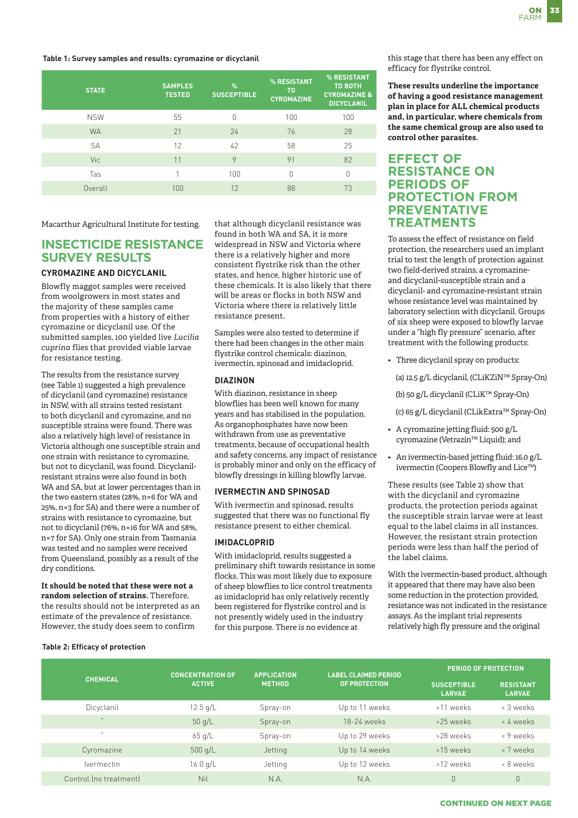#### **Table 1: Survey samples and results: cyromazine or dicyclanil**

| <b>STATE</b> | <b>SAMPLES</b><br><b>TESTED</b> | $\frac{9}{6}$<br><b>SUSCEPTIBLE</b> | % RESISTANT<br>T0<br><b>CYROMAZINE</b> | % RESISTANT<br><b>TO BOTH</b><br><b>CYROMAZINE &amp;</b><br><b>DICYCLANIL</b> |
|--------------|---------------------------------|-------------------------------------|----------------------------------------|-------------------------------------------------------------------------------|
| <b>NSW</b>   | 55                              | N                                   | 100                                    | 100                                                                           |
| <b>WA</b>    | 21                              | 24                                  | 76                                     | 28                                                                            |
| <b>SA</b>    | 12                              | 42                                  | 58                                     | 25                                                                            |
| Vic          | 11                              | 9                                   | 91                                     | 82                                                                            |
| Tas          |                                 | 100                                 | n                                      | n                                                                             |
| Overall      | 100                             | 12                                  | 88                                     | 73                                                                            |

Macarthur Agricultural Institute for testing.

# **INSECTICIDE RESISTANCE SURVEY RESULTS**

### **CYROMAZINE AND DICYCLANIL**

Blowfly maggot samples were received from woolgrowers in most states and the majority of these samples came from properties with a history of either cyromazine or dicyclanil use. Of the submitted samples, 100 yielded live *Lucilia cuprina* flies that provided viable larvae for resistance testing.

The results from the resistance survey (see Table 1) suggested a high prevalence of dicyclanil (and cyromazine) resistance in NSW, with all strains tested resistant to both dicyclanil and cyromazine, and no susceptible strains were found. There was also a relatively high level of resistance in Victoria although one susceptible strain and one strain with resistance to cyromazine, but not to dicyclanil, was found. Dicyclanilresistant strains were also found in both WA and SA, but at lower percentages than in the two eastern states (28%, n=6 for WA and 25%, n=3 for SA) and there were a number of strains with resistance to cyromazine, but not to dicyclanil (76%, n=16 for WA and 58%, n=7 for SA). Only one strain from Tasmania was tested and no samples were received from Queensland, possibly as a result of the dry conditions.

**It should be noted that these were not a random selection of strains.** Therefore, the results should not be interpreted as an estimate of the prevalence of resistance. However, the study does seem to confirm

that although dicyclanil resistance was found in both WA and SA, it is more widespread in NSW and Victoria where there is a relatively higher and more consistent flystrike risk than the other states, and hence, higher historic use of these chemicals. It is also likely that there will be areas or flocks in both NSW and Victoria where there is relatively little resistance present.

Samples were also tested to determine if there had been changes in the other main flystrike control chemicals: diazinon, ivermectin, spinosad and imidacloprid.

### **DIAZINON**

With diazinon, resistance in sheep blowflies has been well known for many years and has stabilised in the population. As organophosphates have now been withdrawn from use as preventative treatments, because of occupational health and safety concerns, any impact of resistance is probably minor and only on the efficacy of blowfly dressings in killing blowfly larvae.

### **IVERMECTIN AND SPINOSAD**

With ivermectin and spinosad, results suggested that there was no functional fly resistance present to either chemical.

#### **IMIDACLOPRID**

With imidacloprid, results suggested a preliminary shift towards resistance in some flocks. This was most likely due to exposure of sheep blowflies to lice control treatments as imidacloprid has only relatively recently been registered for flystrike control and is not presently widely used in the industry for this purpose. There is no evidence at

this stage that there has been any effect on efficacy for flystrike control.

**These results underline the importance of having a good resistance management plan in place for ALL chemical products and, in particular, where chemicals from the same chemical group are also used to control other parasites.**

## **EFFECT OF RESISTANCE ON PERIODS OF PROTECTION FROM PREVENTATIVE TREATMENTS**

To assess the effect of resistance on field protection, the researchers used an implant trial to test the length of protection against two field-derived strains, a cyromazineand dicyclanil-susceptible strain and a dicyclanil- and cyromazine-resistant strain whose resistance level was maintained by laboratory selection with dicyclanil. Groups of six sheep were exposed to blowfly larvae under a "high fly pressure" scenario, after treatment with the following products:

• Three dicyclanil spray on products:

(a) 12.5 g/L dicyclanil, (CLiKZiN™ Spray-On)

(b) 50 g/L dicyclanil (CLiK™ Spray-On)

(c) 65 g/L dicyclanil (CLikExtra™ Spray-On)

- A cyromazine jetting fluid: 500 g/L cyromazine (Vetrazin™ Liquid); and
- An ivermectin-based jetting fluid: 16.0 g/L ivermectin (Coopers Blowfly and Lice™)

These results (see Table 2) show that with the dicyclanil and cyromazine products, the protection periods against the susceptible strain larvae were at least equal to the label claims in all instances. However, the resistant strain protection periods were less than half the period of the label claims.

With the ivermectin-based product, although it appeared that there may have also been some reduction in the protection provided, resistance was not indicated in the resistance assays. As the implant trial represents relatively high fly pressure and the original

| <b>CHEMICAL</b>                 | <b>CONCENTRATION OF</b><br><b>ACTIVE</b> | <b>APPLICATION</b><br><b>METHOD</b> | <b>LABEL CLAIMED PERIOD</b> | <b>PERIOD OF PROTECTION</b>         |                                   |
|---------------------------------|------------------------------------------|-------------------------------------|-----------------------------|-------------------------------------|-----------------------------------|
|                                 |                                          |                                     | <b>OF PROTECTION</b>        | <b>SUSCEPTIBLE</b><br><b>LARVAE</b> | <b>RESISTANT</b><br><b>LARVAE</b> |
| Dicyclanil                      | $12.5$ g/L                               | Spray-on                            | Up to 11 weeks              | >11 weeks                           | < 3 weeks                         |
| $\bullet$                       | 50q/L                                    | Spray-on                            | $18-24$ weeks               | >25 weeks                           | < 4 weeks                         |
| $\ddot{\phantom{0}}$            | $65$ g/L                                 | Spray-on                            | Up to 29 weeks              | >28 weeks                           | < 9 weeks                         |
| Cyromazine                      | $500$ g/L                                | Jetting                             | Up to 14 weeks              | >15 weeks                           | < 7 weeks                         |
| <i><u><b>Ivermectin</b></u></i> | 16.0 q/L                                 | Jetting                             | Up to 12 weeks              | >12 weeks                           | < 8 weeks                         |
| Control (no treatment)          | Nil                                      | N.A.                                | N.A.                        | $\overline{0}$                      | 0                                 |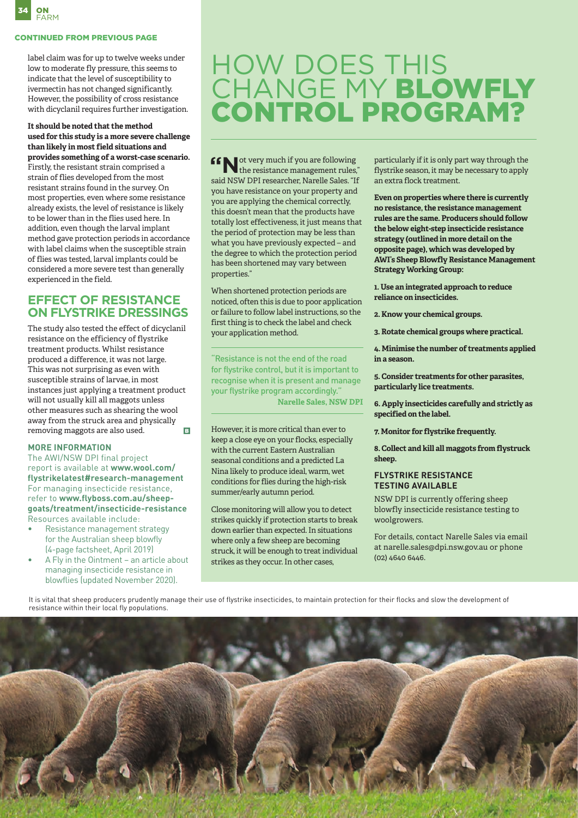

### CONTINUED FROM PREVIOUS PAGE

label claim was for up to twelve weeks under low to moderate fly pressure, this seems to indicate that the level of susceptibility to ivermectin has not changed significantly. However, the possibility of cross resistance with dicyclanil requires further investigation.

### **It should be noted that the method used for this study is a more severe challenge than likely in most field situations and provides something of a worst-case scenario.**

Firstly, the resistant strain comprised a strain of flies developed from the most resistant strains found in the survey. On most properties, even where some resistance already exists, the level of resistance is likely to be lower than in the flies used here. In addition, even though the larval implant method gave protection periods in accordance with label claims when the susceptible strain of flies was tested, larval implants could be considered a more severe test than generally experienced in the field.

## **EFFECT OF RESISTANCE ON FLYSTRIKE DRESSINGS**

The study also tested the effect of dicyclanil resistance on the efficiency of flystrike treatment products. Whilst resistance produced a difference, it was not large. This was not surprising as even with susceptible strains of larvae, in most instances just applying a treatment product will not usually kill all maggots unless other measures such as shearing the wool away from the struck area and physically removing maggots are also used.  $\overline{B}$ 

### **MORE INFORMATION**

The AWI/NSW DPI final project report is available at **www.wool.com/ flystrikelatest#research-management** For managing insecticide resistance, refer to **www.flyboss.com.au/sheepgoats/treatment/insecticide-resistance**  Resources available include:

- Resistance management strategy for the Australian sheep blowfly (4-page factsheet, April 2019)
- A Fly in the Ointment an article about managing insecticide resistance in blowflies (updated November 2020).

# HOW DOES THIS CHANGE MY BLOWFLY CONTROL PROGRAM?

**"N** ot very much if you are following the resistance management rules," said NSW DPI researcher, Narelle Sales. "If you have resistance on your property and you are applying the chemical correctly, this doesn't mean that the products have totally lost effectiveness, it just means that the period of protection may be less than what you have previously expected – and the degree to which the protection period has been shortened may vary between properties."

When shortened protection periods are noticed, often this is due to poor application or failure to follow label instructions, so the first thing is to check the label and check your application method.

"Resistance is not the end of the road for flystrike control, but it is important to recognise when it is present and manage your flystrike program accordingly." **Narelle Sales, NSW DPI**

However, it is more critical than ever to keep a close eye on your flocks, especially with the current Eastern Australian seasonal conditions and a predicted La Nina likely to produce ideal, warm, wet conditions for flies during the high-risk summer/early autumn period.

Close monitoring will allow you to detect strikes quickly if protection starts to break down earlier than expected. In situations where only a few sheep are becoming struck, it will be enough to treat individual strikes as they occur. In other cases,

particularly if it is only part way through the flystrike season, it may be necessary to apply an extra flock treatment.

**Even on properties where there is currently no resistance, the resistance management rules are the same. Producers should follow the below eight-step insecticide resistance strategy (outlined in more detail on the opposite page), which was developed by AWI's Sheep Blowfly Resistance Management Strategy Working Group:**

**1. Use an integrated approach to reduce reliance on insecticides.**

**2. Know your chemical groups.** 

**3. Rotate chemical groups where practical.** 

**4. Minimise the number of treatments applied in a season.** 

**5. Consider treatments for other parasites, particularly lice treatments.** 

**6. Apply insecticides carefully and strictly as specified on the label.** 

**7. Monitor for flystrike frequently.** 

**8. Collect and kill all maggots from flystruck sheep.**

### **FLYSTRIKE RESISTANCE TESTING AVAILABLE**

NSW DPI is currently offering sheep blowfly insecticide resistance testing to woolgrowers.

For details, contact Narelle Sales via email at narelle.sales@dpi.nsw.gov.au or phone (02) 4640 6446.

It is vital that sheep producers prudently manage their use of flystrike insecticides, to maintain protection for their flocks and slow the development of resistance within their local fly populations.